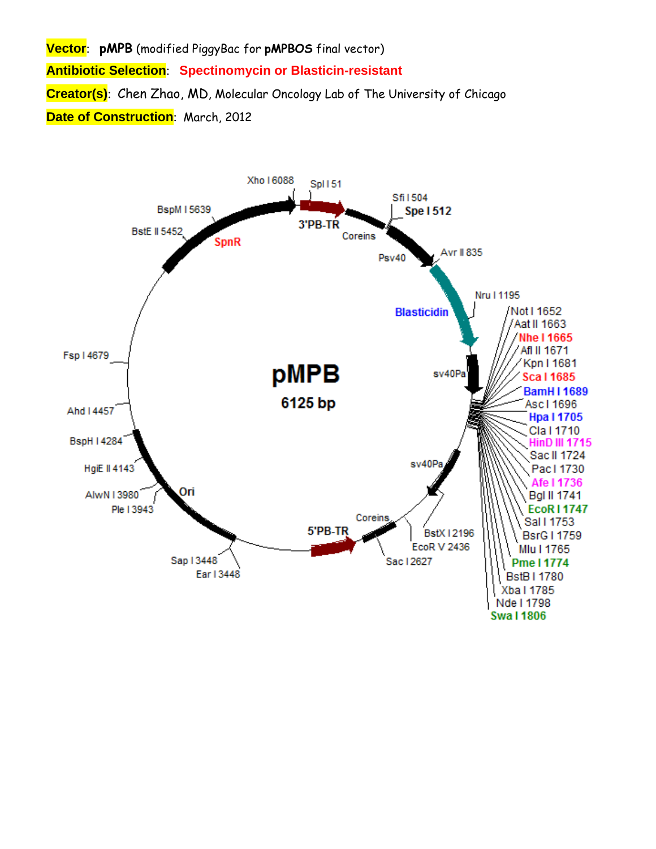**Vector**: **pMPB** (modified PiggyBac for **pMPBOS** final vector) **Antibiotic Selection**: **Spectinomycin or Blasticin-resistant Creator(s)**: Chen Zhao, MD, Molecular Oncology Lab of The University of Chicago **Date of Construction**: March, 2012

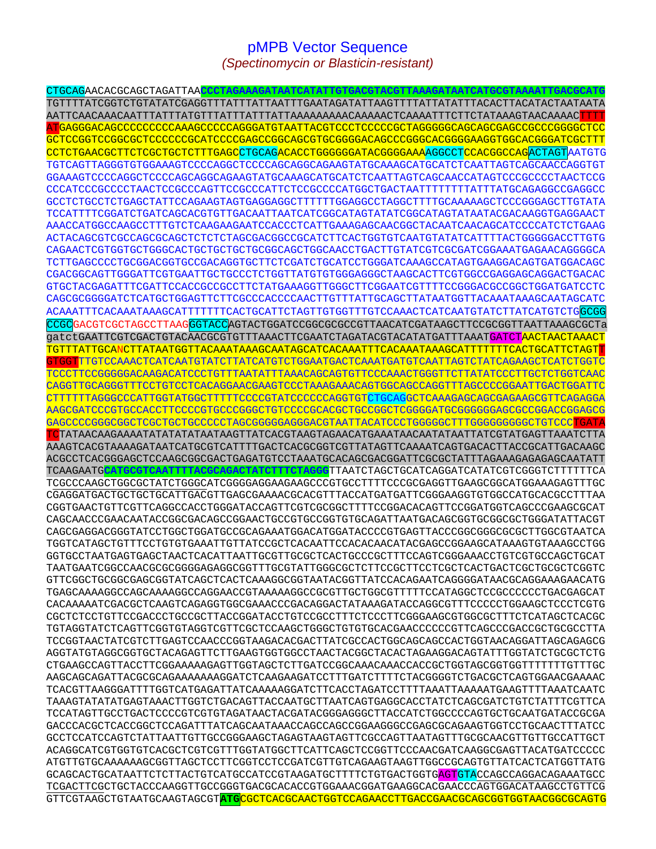## pMPB Vector Sequence *(Spectinomycin or Blasticin-resistant)*

CTGCAGAACACGCAGCTAGATTAA**CCCTAGAAAGATAATCATATTGTGACGTACGTTAAAGATAATCATGCGTAAAATTGACGCATG** TGTTTTATCGGTCTGTATATCGAGGTTTATTTATTAATTTGAATAGATATTAAGTTTTATTATATTTACACTTACATACTAATAATA AATTCAACAAACAATTTATTTATGTTTATTTATTTATTAAAAAAAAACAAAAACTCAAAATTTCTTCTATAAAGTAACAAAACTTTT ATGAGGGACAGCCCCCCCCCAAAGCCCCCAGGGATGTAATTACGTCCCTCCCCCGCTAGGGGGCAGCAGCGAGCCGCCCGGGGCTCC GCTCCGGTCCGGCGCTCCCCCCGCATCCCCGAGCCGGCAGCGTGCGGGGACAGCCCGGGCACGGGGAAGGTGGCACGGGATCGCTTT CCTCTGAACGCTTCTCGCTGCTCTTTGAGCCTGCAGACACCTGGGGGGATACGGGGAAAAGGCCTCCACGGCCAGACTAGTAATGTG TGTCAGTTAGGGTGTGGAAAGTCCCCAGGCTCCCCAGCAGGCAGAAGTATGCAAAGCATGCATCTCAATTAGTCAGCAACCAGGTGT GGAAAGTCCCCAGGCTCCCCAGCAGGCAGAAGTATGCAAAGCATGCATCTCAATTAGTCAGCAACCATAGTCCCGCCCCTAACTCCG CCCATCCCGCCCCTAACTCCGCCCAGTTCCGCCCATTCTCCGCCCCATGGCTGACTAATTTTTTTTATTTATGCAGAGGCCGAGGCC GCCTCTGCCTCTGAGCTATTCCAGAAGTAGTGAGGAGGCTTTTTTGGAGGCCTAGGCTTTTGCAAAAAGCTCCCGGGAGCTTGTATA TCCATTTTCGGATCTGATCAGCACGTGTTGACAATTAATCATCGGCATAGTATATCGGCATAGTATAATACGACAAGGTGAGGAACT AAACCATGGCCAAGCCTTTGTCTCAAGAAGAATCCACCCTCATTGAAAGAGCAACGGCTACAATCAACAGCATCCCCATCTCTGAAG ACTACAGCGTCGCCAGCGCAGCTCTCTCTAGCGACGGCCGCATCTTCACTGGTGTCAATGTATATCATTTTACTGGGGGACCTTGTG CAGAACTCGTGGTGCTGGGCACTGCTGCTGCTGCGGCAGCTGGCAACCTGACTTGTATCGTCGCGATCGGAAATGAGAACAGGGGCA TCTTGAGCCCCTGCGGACGGTGCCGACAGGTGCTTCTCGATCTGCATCCTGGGATCAAAGCCATAGTGAAGGACAGTGATGGACAGC CGACGGCAGTTGGGATTCGTGAATTGCTGCCCTCTGGTTATGTGTGGGAGGGCTAAGCACTTCGTGGCCGAGGAGCAGGACTGACAC GTGCTACGAGATTTCGATTCCACCGCCGCCTTCTATGAAAGGTTGGGCTTCGGAATCGTTTTCCGGGACGCCGGCTGGATGATCCTC CAGCGCGGGGATCTCATGCTGGAGTTCTTCGCCCACCCCAACTTGTTTATTGCAGCTTATAATGGTTACAAATAAAGCAATAGCATC ACAAATTTCACAAATAAAGCATTTTTTTCACTGCATTCTAGTTGTGGTTTGTCCAAACTCATCAATGTATCTTATCATGTCTGGCGG CCGCGACGTCGCTAGCCTTAAGGGTACCAGTACTGGATCCGGCGCGCCGTTAACATCGATAAGCTTCCGCGGTTAATTAAAGCGCTa gatctGAATTCGTCGACTGTACAACGCGTGTTTAAACTTCGAATCTAGATACGTACATATGATTTAAATGATCTAACTAACTAAACT TGTTTATTGCANCTTATAATGGTTACAAATAAAGCAATAGCATCACAAATTTCACAAATAAAGCATTTTTTTCACTGCATTCTAGTT TTGTCCAAACTCATCAATGTATCTTATCATGTCTGGAATGACTCAAATGATGTCAATTAGTCTATCAGAAGCTCATCTGGTC TCCCTTCCGGGGGACAAGACATCCCTGTTTAATATTTAAACAGCAGTGTTCCCAAACTGGGTTCTTATATCCCTTGCTCTGGTCAAC CAGGTTGCAGGGTTTCCTGTCCTCACAGGAACGAAGTCCCTAAAGAAACAGTGGCAGCCAGGTTTAGCCCCGGAATTGACTGGATTC CTTTTTTAGGGCCCATTGGTATGGCTTTTTCCCCGTATCCCCCCAGGTGTCTGCAGGCTCAAAGAGCAGCGAGAAGCGTTCAGAGGA AAGCGATCCCGTGCCACCTTCCCCGTGCCCGGGCTGTCCCCGCACGCTGCCGGCTCGGGGATGCGGGGGGAGCGCCGGACCGGAGCG GAGCCCCGGGCGGCTCGCTGCTGCCCCCTAGCGGGGGAGGGACGTAATTACATCCCTGGGGGCTTTGGGGGGGGGCTGTCCCTGATA TCTATAACAAGAAAATATATATATAATAAGTTATCACGTAAGTAGAACATGAAATAACAATATAATTATCGTATGAGTTAAATCTTA AAAGTCACGTAAAAGATAATCATGCGTCATTTTGACTCACGCGGTCGTTATAGTTCAAAATCAGTGACACTTACCGCATTGACAAGC ACGCCTCACGGGAGCTCCAAGCGGCGACTGAGATGTCCTAAATGCACAGCGACGGATTCGCGCTATTTAGAAAGAGAGAGCAATATT TCAAGAATG**CATGCGTCAATTTTACGCAGACTATCTTTCTAGGG**TTAATCTAGCTGCATCAGGATCATATCGTCGGGTCTTTTTTCA TCGCCCAAGCTGGCGCTATCTGGGCATCGGGGAGGAAGAAGCCCGTGCCTTTTCCCGCGAGGTTGAAGCGGCATGGAAAGAGTTTGC CGAGGATGACTGCTGCTGCATTGACGTTGAGCGAAAACGCACGTTTACCATGATGATTCGGGAAGGTGTGGCCATGCACGCCTTTAA CGGTGAACTGTTCGTTCAGGCCACCTGGGATACCAGTTCGTCGCGGCTTTTCCGGACACAGTTCCGGATGGTCAGCCCGAAGCGCAT CAGCAACCCGAACAATACCGGCGACAGCCGGAACTGCCGTGCCGGTGTGCAGATTAATGACAGCGGTGCGGCGCTGGGATATTACGT CAGCGAGGACGGGTATCCTGGCTGGATGCCGCAGAAATGGACATGGATACCCCGTGAGTTACCCGGCGGGCGCGCTTGGCGTAATCA TGGTCATAGCTGTTTCCTGTGTGAAATTGTTATCCGCTCACAATTCCACACAACATACGAGCCGGAAGCATAAAGTGTAAAGCCTGG GGTGCCTAATGAGTGAGCTAACTCACATTAATTGCGTTGCGCTCACTGCCCGCTTTCCAGTCGGGAAACCTGTCGTGCCAGCTGCAT TAATGAATCGGCCAACGCGCGGGGAGAGGCGGTTTGCGTATTGGGCGCTCTTCCGCTTCCTCGCTCACTGACTCGCTGCGCTCGGTC GTTCGGCTGCGGCGAGCGGTATCAGCTCACTCAAAGGCGGTAATACGGTTATCCACAGAATCAGGGGATAACGCAGGAAAGAACATG TGAGCAAAAGGCCAGCAAAAGGCCAGGAACCGTAAAAAGGCCGCGTTGCTGGCGTTTTTCCATAGGCTCCGCCCCCCTGACGAGCAT CACAAAAATCGACGCTCAAGTCAGAGGTGGCGAAACCCGACAGGACTATAAAGATACCAGGCGTTTCCCCCTGGAAGCTCCCTCGTG CGCTCTCCTGTTCCGACCCTGCCGCTTACCGGATACCTGTCCGCCTTTCTCCCTTCGGGAAGCGTGGCGCTTTCTCATAGCTCACGC TGTAGGTATCTCAGTTCGGTGTAGGTCGTTCGCTCCAAGCTGGGCTGTGTGCACGAACCCCCCGTTCAGCCCGACCGCTGCGCCTTA TCCGGTAACTATCGTCTTGAGTCCAACCCGGTAAGACACGACTTATCGCCACTGGCAGCAGCCACTGGTAACAGGATTAGCAGAGCG AGGTATGTAGGCGGTGCTACAGAGTTCTTGAAGTGGTGGCCTAACTACGGCTACACTAGAAGGACAGTATTTGGTATCTGCGCTCTG CTGAAGCCAGTTACCTTCGGAAAAAGAGTTGGTAGCTCTTGATCCGGCAAACAAACCACCGCTGGTAGCGGTGGTTTTTTTGTTTGC AAGCAGCAGATTACGCGCAGAAAAAAAGGATCTCAAGAAGATCCTTTGATCTTTTCTACGGGGTCTGACGCTCAGTGGAACGAAAAC TCACGTTAAGGGATTTTGGTCATGAGATTATCAAAAAGGATCTTCACCTAGATCCTTTTAAATTAAAAATGAAGTTTTAAATCAATC TAAAGTATATATGAGTAAACTTGGTCTGACAGTTACCAATGCTTAATCAGTGAGGCACCTATCTCAGCGATCTGTCTATTTCGTTCA TCCATAGTTGCCTGACTCCCCGTCGTGTAGATAACTACGATACGGGAGGGCTTACCATCTGGCCCCAGTGCTGCAATGATACCGCGA GACCCACGCTCACCGGCTCCAGATTTATCAGCAATAAACCAGCCAGCCGGAAGGGCCGAGCGCAGAAGTGGTCCTGCAACTTTATCC GCCTCCATCCAGTCTATTAATTGTTGCCGGGAAGCTAGAGTAAGTAGTTCGCCAGTTAATAGTTTGCGCAACGTTGTTGCCATTGCT ACAGGCATCGTGGTGTCACGCTCGTCGTTTGGTATGGCTTCATTCAGCTCCGGTTCCCAACGATCAAGGCGAGTTACATGATCCCCC ATGTTGTGCAAAAAAGCGGTTAGCTCCTTCGGTCCTCCGATCGTTGTCAGAAGTAAGTTGGCCGCAGTGTTATCACTCATGGTTATG GCAGCACTGCATAATTCTCTTACTGTCATGCCATCCGTAAGATGCTTTTCTGTGACTGGTGAGTGTACCAGCCAGGACAGAAATGCC TCGACTTCGCTGCTACCCAAGGTTGCCGGGTGACGCACACCGTGGAAACGGATGAAGGCACGAACCCAGTGGACATAAGCCTGTTCG GTTCGTAAGCTGTAATGCAAGTAGCGT**ATG**CGCTCACGCAACTGGTCCAGAACCTTGACCGAACGCAGCGGTGGTAACGGCGCAGTG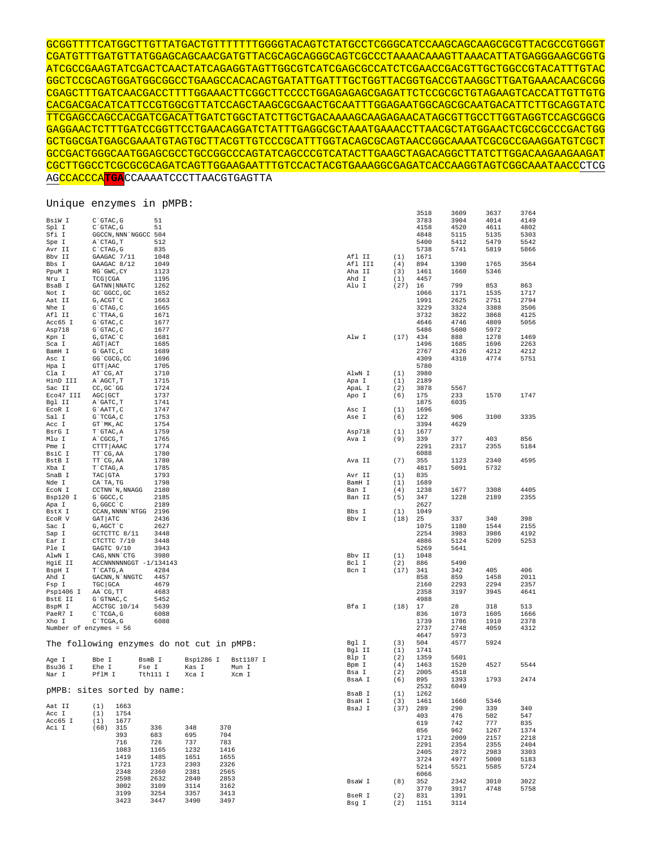GCGGTTTTCATGGCTTGTTATGACTGTTTTTTTGGGGTACAGTCTATGCCTCGGGCATCCAAGCAGCAAGCGCGTTACGCCGTGGGT CGATGTTTGATGTTATGGAGCAGCAACGATGTTACGCAGCAGGGCAGTCGCCCTAAAACAAAGTTAAACATTATGAGGGAAGCGGTG ATCGCCGAAGTATCGACTCAACTATCAGAGGTAGTTGGCGTCATCGAGCGCCATCTCGAACCGACGTTGCTGGCCGTACATTTGTAC GGCTCCGCAGTGGATGGCGGCCTGAAGCCACACAGTGATATTGATTTGCTGGTTACGGTGACCGTAAGGCTTGATGAAACAACGCGG CGAGCTTTGATCAACGACCTTTTGGAAACTTCGGCTTCCCCTGGAGAGAGCGAGATTCTCCGCGCTGTAGAAGTCACCATTGTTGTG CACGACGACATCATTCCGTGGCGTTATCCAGCTAAGCGCGAACTGCAATTTGGAGAATGGCAGCGCAATGACATTCTTGCAGGTATC TTCGAGCCAGCCACGATCGACATTGATCTGGCTATCTTGCTGACAAAAGCAAGAGAACATAGCGTTGCCTTGGTAGGTCCAGCGGCG GAGGAACTCTTTGATCCGGTTCCTGAACAGGATCTATTTGAGGCGCTAAATGAAACCTTAACGCTATGGAACTCGCCGCCCGACTGG GCTGGCGATGAGCGAAATGTAGTGCTTACGTTGTCCCGCATTTGGTACAGCGCAGTAACCGGCAAAATCGCGCCGAAGGATGTCGCT GCCGACTGGGCAATGGAGCGCCTGCCGGCCCAGTATCAGCCCGTCATACTTGAAGCTAGACAGGCTTATCTTGGACAAGAAGAAGAT CGCTTGGCCTCGCGCGCAGATCAGTTGGAAGAATTTGTCCACTACGTGAAAGGCGAGATCACCAAGGTAGTCGGCAAATAACCCTCG AGCCACCCA**TGA**CCAAAATCCCTTAACGTGAGTTA

Unique enzymes in pMPB:

|                          |                                           |          |           |           |         |      | 3518 | 3609 | 3637 | 3764 |
|--------------------------|-------------------------------------------|----------|-----------|-----------|---------|------|------|------|------|------|
| BsiW I                   | $C$ GTAC, $G$                             | 51       |           |           |         |      | 3783 | 3904 | 4014 | 4149 |
| Spl I                    | C`GTAC, G                                 | 51       |           |           |         |      | 4158 | 4520 | 4611 | 4802 |
| Sfi I                    | GGCCN, NNN NGGCC 504                      |          |           |           |         |      | 4848 | 5115 | 5135 | 5303 |
| Spe I                    | A`CTAG, T                                 | 512      |           |           |         |      | 5400 | 5412 | 5479 | 5542 |
|                          |                                           | 835      |           |           |         |      | 5738 | 5741 | 5819 | 5866 |
| Avr II                   | $C$ $CTAG$ , $G$                          |          |           |           |         |      |      |      |      |      |
| Bbv II                   | GAAGAC 7/11                               | 1048     |           |           | Afl II  | (1)  | 1671 |      |      |      |
| Bbs I                    | GAAGAC 8/12                               | 1049     |           |           | Afl III | (4)  | 894  | 1390 | 1765 | 3564 |
| PpuM I                   | RG`GWC, CY                                | 1123     |           |           | Aha II  | (3)  | 1461 | 1660 | 5346 |      |
| Nru I                    | TCG CGA                                   | 1195     |           |           | Ahd I   | (1)  | 4457 |      |      |      |
| BsaB I                   | GATNN NNATC                               | 1262     |           |           | Alu I   | (27) | 16   | 799  | 853  | 863  |
| Not I                    | GC `GGCC, GC                              | 1652     |           |           |         |      | 1066 | 1171 | 1535 | 1717 |
| Aat II                   | G, ACGT `C                                | 1663     |           |           |         |      | 1991 | 2625 | 2751 | 2794 |
| Nhe I                    | G`CTAG, C                                 | 1665     |           |           |         |      | 3229 | 3324 | 3388 | 3506 |
| Afl II                   | C`TTAA, G                                 | 1671     |           |           |         |      | 3732 | 3822 | 3868 | 4125 |
| Acc65 I                  | G`GTAC, C                                 | 1677     |           |           |         |      | 4646 | 4746 | 4809 | 5056 |
| Asp718                   | G`GTAC, C                                 | 1677     |           |           |         |      | 5486 | 5600 | 5972 |      |
| Kpn I                    | G, GTAC `C                                | 1681     |           |           | Alw I   | (17) | 434  | 888  | 1278 | 1469 |
| Sca I                    | AGT ACT                                   | 1685     |           |           |         |      | 1496 | 1685 | 1696 | 2263 |
| BamH I                   | $G$ $GATC$ , $C$                          | 1689     |           |           |         |      | 2767 | 4126 | 4212 | 4212 |
| Asc I                    | GG 'CGCG, CC                              | 1696     |           |           |         |      | 4309 | 4310 | 4774 | 5751 |
| Hpa I                    | GTT AAC                                   | 1705     |           |           |         |      | 5780 |      |      |      |
| Cla I                    | AT CG, AT                                 | 1710     |           |           | AlwN I  | (1)  | 3980 |      |      |      |
| HinD III                 | A`AGCT, T                                 | 1715     |           |           | Apa I   | (1)  | 2189 |      |      |      |
| Sac II                   | CC, GC `GG                                | 1724     |           |           | ApaL I  | (2)  | 3878 | 5567 |      |      |
| Eco47 III                | AGC GCT                                   | 1737     |           |           | Apo I   | (6)  | 175  | 233  | 1570 | 1747 |
| Bgl II                   | A`GATC, T                                 | 1741     |           |           |         |      | 1875 | 6035 |      |      |
| ECOR I                   | G`AATT, C                                 | 1747     |           |           | Asc I   | (1)  | 1696 |      |      |      |
| Sal I                    |                                           | 1753     |           |           |         |      | 122  | 906  | 3100 | 3335 |
|                          | G`TCGA, C                                 | 1754     |           |           | Ase I   | (6)  | 3394 |      |      |      |
| Acc I                    | GT `MK, AC                                |          |           |           |         |      |      | 4629 |      |      |
| BsrG I                   | T`GTAC, A                                 | 1759     |           |           | Asp718  | (1)  | 1677 |      |      |      |
| Mlu I                    | A`CGCG, T                                 | 1765     |           |           | Ava I   | (9)  | 339  | 377  | 403  | 856  |
| Pme I                    | CTTT   AAAC                               | 1774     |           |           |         |      | 2291 | 2317 | 2355 | 5184 |
| BsiC I                   | TT CG, AA                                 | 1780     |           |           |         |      | 6088 |      |      |      |
| BstB I                   | TT CG, AA                                 | 1780     |           |           | Ava II  | (7)  | 355  | 1123 | 2340 | 4595 |
| Xba I                    | T`CTAG, A                                 | 1785     |           |           |         |      | 4817 | 5091 | 5732 |      |
| SnaB I                   | TAC GTA                                   | 1793     |           |           | Avr II  | (1)  | 835  |      |      |      |
| Nde I                    | CA`TA, TG                                 | 1798     |           |           | BamH I  | (1)  | 1689 |      |      |      |
| ECON I                   | CCTNN `N, NNAGG                           | 2180     |           |           | Ban I   | (4)  | 1238 | 1677 | 3308 | 4405 |
| Bsp120 I                 | G`GGCC, C                                 | 2185     |           |           | Ban II  | (5)  | 347  | 1228 | 2189 | 2355 |
| Apa I                    | G, GGCC `C                                | 2189     |           |           |         |      | 2627 |      |      |      |
| BstX I                   | CCAN, NNNN `NTGG                          | 2196     |           |           | Bbs I   | (1)  | 1049 |      |      |      |
| ECOR V                   | GAT   ATC                                 | 2436     |           |           | Bbv I   | (18) | 25   | 337  | 340  | 398  |
| Sac I                    | G, AGCT `C                                | 2627     |           |           |         |      | 1075 | 1180 | 1544 | 2155 |
| Sap I                    | GCTCTTC 8/11                              | 3448     |           |           |         |      | 2254 | 3983 | 3986 | 4192 |
| Ear I                    | CTCTTC 7/10                               | 3448     |           |           |         |      | 4886 | 5124 | 5209 | 5253 |
| Ple I                    | GAGTC 9/10                                | 3943     |           |           |         |      | 5269 | 5641 |      |      |
| AlwN I                   | CAG, NNN CTG                              | 3980     |           |           | Bbv II  | (1)  | 1048 |      |      |      |
| HgiE II                  | ACCNNNNNNGGT -1/134143                    |          |           |           | Bcl I   | (2)  | 886  | 5490 |      |      |
| BspH I                   | T`CATG, A                                 | 4284     |           |           | Bcn I   | (17) | 341  | 342  | 405  | 406  |
| Ahd I                    | GACNN, N`NNGTC                            | 4457     |           |           |         |      | 858  | 859  | 1458 | 2011 |
| Fsp I                    | TGC GCA                                   | 4679     |           |           |         |      | 2160 | 2293 | 2294 | 2357 |
| Psp1406 I                | AA`CG, TT                                 | 4683     |           |           |         |      | 2358 | 3197 | 3945 | 4641 |
| BstE II                  | $G$ $G$ TNAC, $C$                         | 5452     |           |           |         |      | 4988 |      |      |      |
| BspM I                   | ACCTGC 10/14                              | 5639     |           |           | Bfa I   | (18) | 17   | 28   | 318  | 513  |
| PaeR7 I                  | C`TCGA, G                                 | 6088     |           |           |         |      | 836  | 1073 | 1605 | 1666 |
| Xho I                    | C`TCGA, G                                 | 6088     |           |           |         |      | 1739 | 1786 | 1910 | 2378 |
| Number of enzymes = $56$ |                                           |          |           |           |         |      | 2737 | 2748 | 4059 | 4312 |
|                          |                                           |          |           |           |         |      |      |      |      |      |
|                          |                                           |          |           |           |         |      | 4647 | 5973 |      |      |
|                          | The following enzymes do not cut in pMPB: |          |           |           | Bgl I   | (3)  | 504  | 4577 | 5924 |      |
|                          |                                           |          |           |           | Bgl II  | (1)  | 1741 |      |      |      |
| Age I                    | Bbe I<br>BsmB I                           |          | Bsp1286 I | Bst1107 I | Blp I   | (2)  | 1359 | 5601 |      |      |
| Bsu36 I                  | Ehe I<br>Fse I                            |          | Kas I     | Mun I     | Bpm I   | (4)  | 1463 | 1520 | 4527 | 5544 |
| Nar I                    | PflM I                                    | Tth111 I | Xca I     | Xcm I     | Bsa I   | (2)  | 2005 | 4518 |      |      |
|                          |                                           |          |           |           | BsaA I  | (6)  | 895  | 1393 | 1793 | 2474 |
| $pMPB$ :                 | sites sorted by name:                     |          |           |           |         |      | 2532 | 6049 |      |      |
|                          |                                           |          |           |           | BsaB I  | (1)  | 1262 |      |      |      |
| Aat II                   |                                           |          |           |           | BsaH I  | (3)  | 1461 | 1660 | 5346 |      |
|                          | (1)<br>1663                               |          |           |           | BsaJ I  | (37) | 289  | 290  | 339  | 340  |
| Acc I                    | (1)<br>1754                               |          |           |           |         |      | 403  | 476  | 502  | 547  |
| Acc65 I                  | 1677<br>(1)                               |          |           |           |         |      | 619  | 742  | 777  | 835  |
| Aci I                    | (68)<br>315                               | 336      | 348       | 370       |         |      | 856  | 962  | 1267 | 1374 |
|                          | 393                                       | 683      | 695       | 704       |         |      | 1721 | 2009 | 2157 | 2218 |
|                          | 716                                       | 726      | 737       | 783       |         |      | 2291 | 2354 | 2355 | 2404 |
|                          | 1083                                      | 1165     | 1232      | 1416      |         |      | 2405 | 2872 | 2983 | 3303 |
|                          | 1419                                      | 1485     | 1651      | 1655      |         |      | 3724 | 4977 | 5000 | 5183 |
|                          | 1721                                      | 1723     | 2303      | 2326      |         |      | 5214 | 5521 | 5585 | 5724 |
|                          | 2348                                      | 2360     | 2381      | 2565      |         |      | 6066 |      |      |      |
|                          | 2598                                      | 2632     | 2840      | 2853      | BsaW I  | (8)  | 352  | 2342 | 3010 | 3022 |
|                          | 3002                                      | 3109     | 3114      | 3162      |         |      | 3770 | 3917 | 4748 | 5758 |
|                          | 3199                                      | 3254     | 3357      | 3413      | BseR I  | (2)  | 831  | 1391 |      |      |
|                          | 3423                                      | 3447     | 3490      | 3497      | Bsg I   | (2)  | 1151 | 3114 |      |      |
|                          |                                           |          |           |           |         |      |      |      |      |      |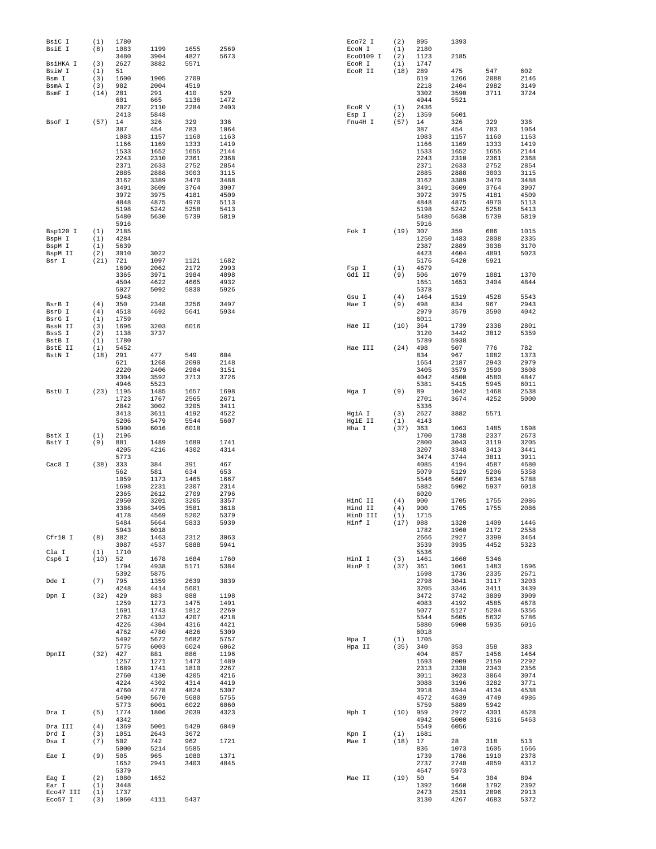| BsiC I<br>BsiE I  | (1)<br>(8)  | 1780<br>1083 | 1199         | 1655         | 2569         | Eco72 I<br>ECON I  | (2)<br>(1)  | 895<br>2180        | 1393         |              |              |
|-------------------|-------------|--------------|--------------|--------------|--------------|--------------------|-------------|--------------------|--------------|--------------|--------------|
|                   |             | 3480         | 3904         | 4827         | 5673         | Eco0109 I          | (2)         | 1123               | 2185         |              |              |
| BsiHKA I          | (3)         | 2627         | 3882         | 5571         |              | ECOR I             | (1)         | 1747               |              |              |              |
| BsiW I<br>Bsm I   | (1)<br>(3)  | 51<br>1600   | 1905         | 2709         |              | ECOR II            | (18)        | 289<br>619         | 475<br>1266  | 547<br>2088  | 602<br>2146  |
| BsmA I            | (3)         | 982          | 2004         | 4519         |              |                    |             | 2218               | 2404         | 2982         | 3149         |
| BsmF I            | (14)        | 281          | 291          | 410          | 529          |                    |             | 3302               | 3590         | 3711         | 3724         |
|                   |             | 601<br>2027  | 665<br>2110  | 1136<br>2284 | 1472<br>2403 | ECOR V             | (1)         | 4944<br>2436       | 5521         |              |              |
|                   |             | 2413         | 5848         |              |              | Esp I              | (2)         | 1359               | 5601         |              |              |
| BsoF I            | (57)        | 14           | 326          | 329          | 336          | Fnu4H I            | (57)        | 14                 | 326          | 329          | 336          |
|                   |             | 387<br>1083  | 454<br>1157  | 783<br>1160  | 1064<br>1163 |                    |             | 387<br>1083        | 454<br>1157  | 783<br>1160  | 1064<br>1163 |
|                   |             | 1166         | 1169         | 1333         | 1419         |                    |             | 1166               | 1169         | 1333         | 1419         |
|                   |             | 1533         | 1652         | 1655         | 2144         |                    |             | 1533               | 1652         | 1655         | 2144         |
|                   |             | 2243<br>2371 | 2310<br>2633 | 2361<br>2752 | 2368<br>2854 |                    |             | 2243<br>2371       | 2310<br>2633 | 2361<br>2752 | 2368<br>2854 |
|                   |             | 2885         | 2888         | 3003         | 3115         |                    |             | 2885               | 2888         | 3003         | 3115         |
|                   |             | 3162         | 3389         | 3470         | 3488         |                    |             | 3162               | 3389         | 3470         | 3488         |
|                   |             | 3491         | 3609         | 3764         | 3907         |                    |             | 3491               | 3609         | 3764         | 3907         |
|                   |             | 3972<br>4848 | 3975<br>4875 | 4181<br>4970 | 4509<br>5113 |                    |             | 3972<br>4848       | 3975<br>4875 | 4181<br>4970 | 4509<br>5113 |
|                   |             | 5198         | 5242         | 5258         | 5413         |                    |             | 5198               | 5242         | 5258         | 5413         |
|                   |             | 5480         | 5630         | 5739         | 5819         |                    |             | 5480               | 5630         | 5739         | 5819         |
| Bsp120 I          | (1)         | 5916<br>2185 |              |              |              | Fok I              | (19)        | 5916<br>307        | 359          | 686          | 1015         |
| BspH I            | (1)         | 4284         |              |              |              |                    |             | 1250               | 1483         | 2008         | 2335         |
| BspM I            | (1)         | 5639         |              |              |              |                    |             | 2387               | 2889         | 3038         | 3170         |
| BspM II<br>Bsr I  | (2)<br>(21) | 3010<br>721  | 3022<br>1097 | 1121         | 1682         |                    |             | 4423<br>5176       | 4604         | 4891<br>5921 | 5023         |
|                   |             | 1690         | 2062         | 2172         | 2993         | Fsp I              | (1)         | 4679               | 5420         |              |              |
|                   |             | 3365         | 3971         | 3984         | 4098         | Gdi II             | (9)         | 506                | 1079         | 1081         | 1370         |
|                   |             | 4504         | 4622         | 4665         | 4932         |                    |             | 1651               | 1653         | 3404         | 4844         |
|                   |             | 5027<br>5948 | 5092         | 5830         | 5926         | Gsu I              | (4)         | 5378<br>1464       | 1519         | 4528         | 5543         |
| BsrB I            | (4)         | 350          | 2348         | 3256         | 3497         | Hae I              | (9)         | 498                | 834          | 967          | 2943         |
| BsrD I            | (4)         | 4518         | 4692         | 5641         | 5934         |                    |             | 2979               | 3579         | 3590         | 4042         |
| BsrG I            | (1)         | 1759         |              |              |              |                    |             | 6011               |              |              |              |
| BssH II<br>BssS I | (3)<br>(2)  | 1696<br>1138 | 3203<br>3737 | 6016         |              | Hae II             | (10)        | 364<br>3120        | 1739<br>3442 | 2338<br>3812 | 2801<br>5359 |
| BstB I            | (1)         | 1780         |              |              |              |                    |             | 5789               | 5938         |              |              |
| BstE II           | (1)         | 5452         |              |              |              | Hae III            | (24)        | 498                | 507          | 776          | 782          |
| BstN I            | (18)        | 291<br>621   | 477<br>1268  | 549<br>2090  | 604<br>2148  |                    |             | 834<br>1654        | 967<br>2187  | 1082<br>2943 | 1373<br>2979 |
|                   |             | 2220         | 2406         | 2984         | 3151         |                    |             | 3405               | 3579         | 3590         | 3608         |
|                   |             | 3304         | 3592         | 3713         | 3726         |                    |             | 4042               | 4500         | 4580         | 4847         |
|                   |             | 4946         | 5523         |              |              |                    |             | 5381               | 5415         | 5945         | 6011         |
| BstU I            | (23)        | 1195<br>1723 | 1485<br>1767 | 1657<br>2565 | 1698<br>2671 | Hga I              | (9)         | 89<br>2701         | 1042<br>3674 | 1468<br>4252 | 2538<br>5000 |
|                   |             | 2842         | 3002         | 3205         | 3411         |                    |             | 5336               |              |              |              |
|                   |             | 3413         | 3611         | 4192         | 4522         | HgiA I             | (3)         | 2627               | 3882         | 5571         |              |
|                   |             | 5206<br>5900 | 5479<br>6016 | 5544<br>6018 | 5607         | HgiE II<br>Hha I   | (1)<br>(37) | 4143<br>363        | 1063         | 1485         | 1698         |
| BstX I            | (1)         | 2196         |              |              |              |                    |             | 1700               | 1738         | 2337         | 2673         |
| BstY I            | (9)         | 881          | 1489         | 1689         | 1741         |                    |             | 2800               | 3043         | 3119         | 3205         |
|                   |             | 4205<br>5773 | 4216         | 4302         | 4314         |                    |             | 3207<br>3474       | 3348<br>3744 | 3413         | 3441         |
| Cac8 I            | (38)        | 333          | 384          | 391          | 467          |                    |             | 4085               | 4194         | 3811<br>4587 | 3911<br>4680 |
|                   |             | 562          | 581          | 634          | 653          |                    |             | 5079               | 5129         | 5206         | 5358         |
|                   |             | 1059         | 1173         | 1465         | 1667         |                    |             | 5546               | 5607         | 5634         | 5788         |
|                   |             | 1698<br>2365 | 2231<br>2612 | 2307<br>2709 | 2314<br>2796 |                    |             | 5882<br>6020       | 5902         | 5937         | 6018         |
|                   |             | 2950         | 3201         | 3205         | 3357         | HinC II            | (4)         | 900                | 1705         | 1755         | 2086         |
|                   |             | 3386         | 3495         | 3581         | 3618         | Hind II            | (4)         | 900                | 1705         | 1755         | 2086         |
|                   |             | 4178<br>5484 | 4569<br>5664 | 5202<br>5833 | 5379<br>5939 | HinD III<br>Hinf I | (1)<br>(17) | 1715<br>988        | 1320         | 1409         | 1446         |
|                   |             | 5943         | 6018         |              |              |                    |             | 1782               | 1960         | 2172         | 2558         |
| Cfr10 I           | (8)         | 382          | 1463         | 2312         | 3063         |                    |             | 2666               | 2927         | 3399         | 3464         |
| Cla I             | (1)         | 3087<br>1710 | 4537         | 5888         | 5941         |                    |             | 3539<br>5536       | 3935         | 4452         | 5323         |
| Csp6 I            | (10)        | 52           | 1678         | 1684         | 1760         | HinI I             | (3)         | 1461               | 1660         | 5346         |              |
|                   |             | 1794         | 4938         | 5171         | 5384         | HinP I             | (37)        | 361                | 1061         | 1483         | 1696         |
|                   |             | 5392         | 5875         |              |              |                    |             | 1698               | 1736         | 2335         | 2671         |
| Dde I             | (7)         | 795<br>4248  | 1359<br>4414 | 2639<br>5601 | 3839         |                    |             | 2798<br>3205       | 3041<br>3346 | 3117<br>3411 | 3203<br>3439 |
| Dpn I             | (32)        | 429          | 883          | 888          | 1198         |                    |             | 3472               | 3742         | 3809         | 3909         |
|                   |             | 1259         | 1273         | 1475         | 1491         |                    |             | 4083               | 4192         | 4585         | 4678         |
|                   |             | 1691<br>2762 | 1743<br>4132 | 1812<br>4207 | 2269<br>4218 |                    |             | 5077<br>5544       | 5127<br>5605 | 5204<br>5632 | 5356<br>5786 |
|                   |             | 4226         | 4304         | 4316         | 4421         |                    |             | 5880               | 5900         | 5935         | 6016         |
|                   |             | 4762         | 4780         | 4826         | 5309         |                    |             | 6018               |              |              |              |
|                   |             | 5492<br>5775 | 5672<br>6003 | 5682         | 5757<br>6062 | Hpa I              | (1)<br>(35) | 1705<br>340        |              | 358          | 383          |
| DpnII             | (32)        | 427          | 881          | 6024<br>886  | 1196         | Hpa II             |             | 404                | 353<br>857   | 1456         | 1464         |
|                   |             | 1257         | 1271         | 1473         | 1489         |                    |             | 1693               | 2009         | 2159         | 2292         |
|                   |             | 1689         | 1741         | 1810         | 2267         |                    |             | 2313               | 2338         | 2343         | 2356         |
|                   |             | 2760<br>4224 | 4130<br>4302 | 4205<br>4314 | 4216<br>4419 |                    |             | 3011<br>3088       | 3023<br>3196 | 3064<br>3282 | 3074<br>3771 |
|                   |             | 4760         | 4778         | 4824         | 5307         |                    |             | 3918               | 3944         | 4134         | 4538         |
|                   |             | 5490         | 5670         | 5680         | 5755         |                    |             | 4572               | 4639         | 4749         | 4986         |
| Dra I             | (5)         | 5773<br>1774 | 6001<br>1806 | 6022<br>2039 | 6060<br>4323 | Hph I              |             | 5759<br>$(10)$ 959 | 5889<br>2972 | 5942<br>4301 | 4528         |
|                   |             | 4342         |              |              |              |                    |             | 4942               | 5000         | 5316         | 5463         |
| Dra III           | (4)         | 1369         | 5001         | 5429         | 6049         |                    |             | 5549               | 6056         |              |              |
| Drd I             | (3)         | 1051         | 2643         | 3672         |              | Kpn I              | (1)         | 1681               |              |              |              |
| Dsa I             | (7)         | 502<br>5000  | 742<br>5214  | 962<br>5585  | 1721         | Mae I              | (18)        | 17<br>836          | 28<br>1073   | 318<br>1605  | 513<br>1666  |
| Eae I             | (9)         | 505          | 965          | 1080         | 1371         |                    |             | 1739               | 1786         | 1910         | 2378         |
|                   |             | 1652         | 2941         | 3403         | 4845         |                    |             | 2737               | 2748         | 4059         | 4312         |
| Eag I             | (2)         | 5379<br>1080 | 1652         |              |              | Mae II             | (19)        | 4647<br>50         | 5973<br>54   | 304          | 894          |
| Ear I             | (1)         | 3448         |              |              |              |                    |             | 1392               | 1660         | 1792         | 2392         |
| Eco47 III         | (1)         | 1737         |              |              |              |                    |             | 2473               | 2531         | 2896         | 2913         |
| Eco57 I           | (3)         | 1060         | 4111         | 5437         |              |                    |             | 3130               | 4267         | 4683         | 5372         |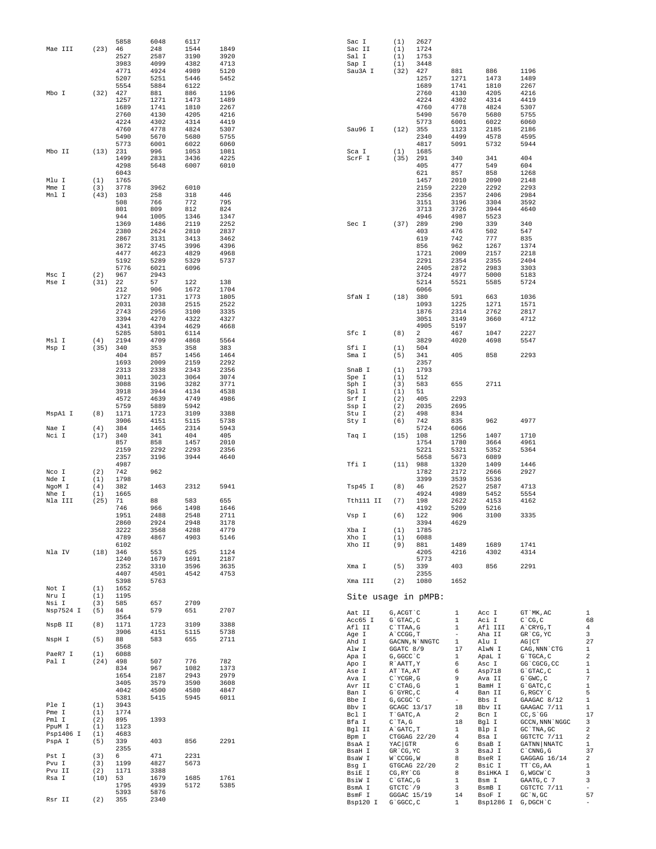|                     |                  | 5858         | 6048         | 6117         |              | Sac I               | (1)                       | 2627           |                                |                               |                                          |                                |
|---------------------|------------------|--------------|--------------|--------------|--------------|---------------------|---------------------------|----------------|--------------------------------|-------------------------------|------------------------------------------|--------------------------------|
| Mae III             | (23)             | 46           | 248          | 1544         | 1849         | Sac II              | (1)                       | 1724           |                                |                               |                                          |                                |
|                     |                  | 2527         | 2587         | 3190         | 3920         | Sal I               | (1)                       | 1753           |                                |                               |                                          |                                |
|                     |                  | 3983<br>4771 | 4099<br>4924 | 4382<br>4989 | 4713<br>5120 | Sap I<br>Sau3A I    | (1)<br>(32)               | 3448<br>427    | 881                            | 886                           | 1196                                     |                                |
|                     |                  | 5207         | 5251         | 5446         | 5452         |                     |                           | 1257           | 1271                           | 1473                          | 1489                                     |                                |
|                     |                  | 5554         | 5884         | 6122         |              |                     |                           | 1689           | 1741                           | 1810                          | 2267                                     |                                |
| Mbo I               | (32)             | 427          | 881          | 886          | 1196         |                     |                           | 2760           | 4130                           | 4205                          | 4216                                     |                                |
|                     |                  | 1257         | 1271         | 1473         | 1489         |                     |                           | 4224           | 4302                           | 4314                          | 4419                                     |                                |
|                     |                  | 1689<br>2760 | 1741<br>4130 | 1810<br>4205 | 2267<br>4216 |                     |                           | 4760<br>5490   | 4778<br>5670                   | 4824<br>5680                  | 5307<br>5755                             |                                |
|                     |                  | 4224         | 4302         | 4314         | 4419         |                     |                           | 5773           | 6001                           | 6022                          | 6060                                     |                                |
|                     |                  | 4760         | 4778         | 4824         | 5307         | Sau96 I             | (12)                      | 355            | 1123                           | 2185                          | 2186                                     |                                |
|                     |                  | 5490         | 5670         | 5680         | 5755         |                     |                           | 2340           | 4499                           | 4578                          | 4595                                     |                                |
|                     |                  | 5773         | 6001         | 6022         | 6060         |                     |                           | 4817           | 5091                           | 5732                          | 5944                                     |                                |
| Mbo II              | (13)             | 231<br>1499  | 996<br>2831  | 1053<br>3436 | 1081<br>4225 | Sca I<br>ScrF I     | (1)<br>(35)               | 1685<br>291    | 340                            | 341                           | 404                                      |                                |
|                     |                  | 4298         | 5648         | 6007         | 6010         |                     |                           | 405            | 477                            | 549                           | 604                                      |                                |
|                     |                  | 6043         |              |              |              |                     |                           | 621            | 857                            | 858                           | 1268                                     |                                |
| Mlu I               | (1)              | 1765         |              |              |              |                     |                           | 1457           | 2010                           | 2090                          | 2148                                     |                                |
| Mme I               | (3)              | 3778         | 3962         | 6010         |              |                     |                           | 2159           | 2220                           | 2292                          | 2293                                     |                                |
| Mnl I               | (43)             | 103<br>508   | 258<br>766   | 318<br>772   | 446<br>795   |                     |                           | 2356<br>3151   | 2357<br>3196                   | 2406<br>3304                  | 2984<br>3592                             |                                |
|                     |                  | 801          | 809          | 812          | 824          |                     |                           | 3713           | 3726                           | 3944                          | 4640                                     |                                |
|                     |                  | 944          | 1005         | 1346         | 1347         |                     |                           | 4946           | 4987                           | 5523                          |                                          |                                |
|                     |                  | 1369         | 1486         | 2119         | 2252         | Sec I               | (37)                      | 289            | 290                            | 339                           | 340                                      |                                |
|                     |                  | 2380         | 2624         | 2810         | 2837         |                     |                           | 403            | 476                            | 502                           | 547                                      |                                |
|                     |                  | 2867         | 3131         | 3413         | 3462         |                     |                           | 619            | 742                            | 777                           | 835                                      |                                |
|                     |                  | 3672<br>4477 | 3745<br>4623 | 3996<br>4829 | 4396<br>4968 |                     |                           | 856<br>1721    | 962<br>2009                    | 1267<br>2157                  | 1374<br>2218                             |                                |
|                     |                  | 5192         | 5289         | 5329         | 5737         |                     |                           | 2291           | 2354                           | 2355                          | 2404                                     |                                |
|                     |                  | 5776         | 6021         | 6096         |              |                     |                           | 2405           | 2872                           | 2983                          | 3303                                     |                                |
| Msc I               | (2)              | 967          | 2943         |              |              |                     |                           | 3724           | 4977                           | 5000                          | 5183                                     |                                |
| Mse I               | (31)             | 22           | 57           | 122          | 138          |                     |                           | 5214           | 5521                           | 5585                          | 5724                                     |                                |
|                     |                  | 212<br>1727  | 906<br>1731  | 1672<br>1773 | 1704<br>1805 | SfaN I              | (18)                      | 6066<br>380    | 591                            | 663                           | 1036                                     |                                |
|                     |                  | 2031         | 2038         | 2515         | 2522         |                     |                           | 1093           | 1225                           | 1271                          | 1571                                     |                                |
|                     |                  | 2743         | 2956         | 3100         | 3335         |                     |                           | 1876           | 2314                           | 2762                          | 2817                                     |                                |
|                     |                  | 3394         | 4270         | 4322         | 4327         |                     |                           | 3051           | 3149                           | 3660                          | 4712                                     |                                |
|                     |                  | 4341         | 4394         | 4629         | 4668         |                     |                           | 4905           | 5197                           |                               |                                          |                                |
| Msl I               | (4)              | 5285<br>2194 | 5801<br>4709 | 6114<br>4868 | 5564         | Sfc I               | (8)                       | 2<br>3829      | 467<br>4020                    | 1047<br>4698                  | 2227<br>5547                             |                                |
| Msp I               | (35)             | 340          | 353          | 358          | 383          | Sfi I               | (1)                       | 504            |                                |                               |                                          |                                |
|                     |                  | 404          | 857          | 1456         | 1464         | Sma I               | (5)                       | 341            | 405                            | 858                           | 2293                                     |                                |
|                     |                  | 1693         | 2009         | 2159         | 2292         |                     |                           | 2357           |                                |                               |                                          |                                |
|                     |                  | 2313         | 2338         | 2343         | 2356         | SnaB I              | (1)                       | 1793           |                                |                               |                                          |                                |
|                     |                  | 3011         | 3023         | 3064         | 3074         | Spe I               | (1)                       | 512            |                                |                               |                                          |                                |
|                     |                  | 3088<br>3918 | 3196<br>3944 | 3282<br>4134 | 3771<br>4538 | Sph I<br>Spl I      | (3)<br>(1)                | 583<br>51      | 655                            | 2711                          |                                          |                                |
|                     |                  | 4572         | 4639         | 4749         | 4986         | Srf I               | (2)                       | 405            | 2293                           |                               |                                          |                                |
|                     |                  | 5759         | 5889         | 5942         |              | Ssp I               | (2)                       | 2035           | 2695                           |                               |                                          |                                |
| MspA1 I             | (8)              | 1171         | 1723         | 3109         | 3388         | Stu I               | (2)                       | 498            | 834                            |                               |                                          |                                |
|                     | (4)              | 3906         | 4151<br>1465 | 5115         | 5738<br>5943 | Sty I               | (6)                       | 742<br>5724    | 835                            | 962                           | 4977                                     |                                |
| Nae I<br>Nci I      | (17)             | 384<br>340   | 341          | 2314<br>404  | 405          | Taq I               | (15)                      | 108            | 6066<br>1256                   | 1407                          | 1710                                     |                                |
|                     |                  | 857          | 858          | 1457         | 2010         |                     |                           | 1754           | 1780                           | 3664                          | 4961                                     |                                |
|                     |                  | 2159         | 2292         | 2293         | 2356         |                     |                           | 5221           | 5321                           | 5352                          | 5364                                     |                                |
|                     |                  | 2357         | 3196         | 3944         | 4640         |                     |                           | 5658           | 5673                           | 6089                          |                                          |                                |
|                     |                  | 4987         |              |              |              | Tfi I               | (11)                      | 988            | 1320                           | 1409                          | 1446                                     |                                |
| Nco I<br>Nde I      | (2)<br>(1)       | 742<br>1798  | 962          |              |              |                     |                           | 1782<br>3399   | 2172<br>3539                   | 2666<br>5536                  | 2927                                     |                                |
| NgoM I              | (4)              | 382          | 1463         | 2312         | 5941         | Tsp45 I             | (8)                       | 46             | 2527                           | 2587                          | 4713                                     |                                |
| Nhe I               | (1)              | 1665         |              |              |              |                     |                           | 4924           | 4989                           | 5452                          | 5554                                     |                                |
| Nla III             | (25)             | 71           | 88           | 583          | 655          | Tth111 II           | (7)                       | 198            | 2622                           | 4153                          | 4162                                     |                                |
|                     |                  | 746          | 966          | 1498         | 1646         |                     |                           | 4192           | 5209                           | 5216                          |                                          |                                |
|                     |                  | 1951<br>2860 | 2488<br>2924 | 2548<br>2948 | 2711<br>3178 | Vsp I               | (6)                       | 122<br>3394    | 906<br>4629                    | 3100                          | 3335                                     |                                |
|                     |                  | 3222         | 3568         | 4288         | 4779         | Xba I               | (1)                       | 1785           |                                |                               |                                          |                                |
|                     |                  | 4789         | 4867         | 4903         | 5146         | Xho I               | (1)                       | 6088           |                                |                               |                                          |                                |
|                     |                  | 6102         |              |              |              | Xho II              | (9)                       | 881            | 1489                           | 1689                          | 1741                                     |                                |
| Nla IV              |                  | $(18)$ 346   | 553          | 625          | 1124         |                     |                           | 4205           | 4216                           | 4302                          | 4314                                     |                                |
|                     |                  | 1240<br>2352 | 1679<br>3310 | 1691<br>3596 | 2187<br>3635 | Xma I               | (5)                       | 5773<br>339    | 403                            | 856                           | 2291                                     |                                |
|                     |                  | 4407         | 4501         | 4542         | 4753         |                     |                           | 2355           |                                |                               |                                          |                                |
|                     |                  | 5398         | 5763         |              |              | Xma III             | (2)                       | 1080           | 1652                           |                               |                                          |                                |
| Not I               | (1)              | 1652         |              |              |              |                     |                           |                |                                |                               |                                          |                                |
| Nru I<br>Nsi I      | (1)<br>(3)       | 1195<br>585  | 657          | 2709         |              | Site usage in pMPB: |                           |                |                                |                               |                                          |                                |
| Nsp7524 I           | (5)              | 84           | 579          | 651          | 2707         |                     |                           |                |                                |                               |                                          |                                |
|                     |                  | 3564         |              |              |              | Aat II<br>Acc65 I   | G, ACGT `C<br>G`GTAC, C   |                | $\mathbf{1}$<br>$\mathbf{1}$   | Acc I<br>Aci I                | GT `MK, AC<br>$C^{\wedge}CG, C$          | 1<br>68                        |
| NspB II             | (8)              | 1171         | 1723         | 3109         | 3388         | Afl II              | $C$ TTAA, G               |                | $\mathbf{1}$                   | Afl III                       | A CRYG, T                                | $\overline{4}$                 |
|                     |                  | 3906         | 4151         | 5115         | 5738         | Age I               | A`CCGG, T                 |                | $\overline{\phantom{a}}$       | Aha II                        | GR CG, YC                                | 3                              |
| NspH I              | (5)              | 88<br>3568   | 583          | 655          | 2711         | Ahd I               |                           | GACNN, N`NNGTC | 1                              | Alu I                         | $AG$ $CT$                                | 27                             |
| PaeR7 I             | (1)              | 6088         |              |              |              | Alw I               | GGATC 8/9                 |                | 17<br>$\mathbf{1}$             | AlwN I                        | CAG, NNN `CTG                            | $\mathbf{1}$<br>$\,2$          |
| Pal I               | (24)             | 498          | 507          | 776          | 782          | Apa I<br>Apo I      | G, GGCC `C<br>R`AATT, Y   |                | 6                              | ApaL I<br>Asc I               | G`TGCA, C<br>GG 'CGCG, CC                | $\mathbf{1}$                   |
|                     |                  | 834          | 967          | 1082         | 1373         | Ase I               | AT `TA, AT                |                | 6                              | Asp718                        | $G$ $GTAC$ , $C$                         | $\mathbf{1}$                   |
|                     |                  | 1654         | 2187         | 2943         | 2979         | Ava I               | C`YCGR, G                 |                | 9                              | Ava II                        | $G$ $GWC$ , $C$                          | $\overline{7}$                 |
|                     |                  | 3405<br>4042 | 3579<br>4500 | 3590<br>4580 | 3608<br>4847 | Avr II              | $C$ $CTAG$ , $G$          |                | $\mathbf{1}$                   | BamH I                        | G`GATC, C                                | $\mathbf{1}$                   |
|                     |                  | 5381         | 5415         | 5945         | 6011         | Ban I               | G`GYRC, C                 |                | 4                              | Ban II                        | G, RGCY `C                               | 5                              |
| Ple I               | (1)              | 3943         |              |              |              | Bbe I<br>Bbv I      | G, GCGC `C<br>GCAGC 13/17 |                | $\overline{\phantom{a}}$<br>18 | Bbs I<br>Bbv II               | GAAGAC 8/12<br>GAAGAC 7/11               | 1<br>$\mathbf{1}$              |
| Pme I               | (1)              | 1774         |              |              |              | Bcl I               | T`GATC, A                 |                | 2                              | Bcn I                         | $CC, S$ GG                               | 17                             |
| Pml I               | (2)              | 895          | 1393         |              |              | Bfa I               | $C^T A, G$                |                | 18                             | Bgl I                         | GCCN, NNN `NGGC                          | 3                              |
| PpuM I              | (1)              | 1123         |              |              |              | Bgl II              | A GATC, T                 |                | $\mathbf{1}$                   | Blp I                         | GC `TNA, GC                              | $\sqrt{2}$                     |
| Psp1406 I<br>PspA I | (1)<br>(5)       | 4683<br>339  | 403          | 856          | 2291         | Bpm I               |                           | CTGGAG 22/20   | 4                              | Bsa I                         | GGTCTC 7/11                              | $\,2$                          |
|                     |                  | 2355         |              |              |              | BsaA I<br>BsaH I    | YAC GTR<br>GR CG, YC      |                | 6<br>3                         | BsaB I<br>BsaJ I              | GATNN NNATC<br>$C$ $\hat{C}$ $NNG$ , $G$ | 1<br>37                        |
| Pst I               | (3)              | 6            | 471          | 2231         |              | BsaW I              | W`CCGG, W                 |                | 8                              | BseR I                        | GAGGAG 16/14                             | $\,2$                          |
| Pvu I               | (3)              | 1199         | 4827         | 5673         |              | Bsg I               |                           | GTGCAG 22/20   | 2                              | BsiC I                        | TT CG, AA                                | $\mathbf{1}$                   |
| Pvu II<br>Rsa I     | (2)<br>$(10)$ 53 | 1171         | 3388<br>1679 | 1685         | 1761         | BsiE I              | CG, RY `CG                |                | 8                              | BsiHKA I                      | G, WGCW `C                               | 3                              |
|                     |                  | 1795         | 4939         | 5172         | 5385         | BsiW I              | $C$ $GTAC$ , $G$          |                | 1                              | Bsm I                         | GAATG, C 7                               | 3                              |
|                     |                  | 5393         | 5876         |              |              | BsmA I              | GTCTC 79                  |                | 3                              | BsmB I                        | CGTCTC 7/11                              | $\overline{\phantom{a}}$<br>57 |
| Rsr II              | (2)              | 355          | 2340         |              |              | BsmF I<br>Bsp120 I  | GGGAC 15/19<br>G`GGCC, C  |                | 14<br>$\mathbf{1}$             | BsoF I<br>Bsp1286 I G, DGCH'C | $GC^N$ , $GC$                            |                                |